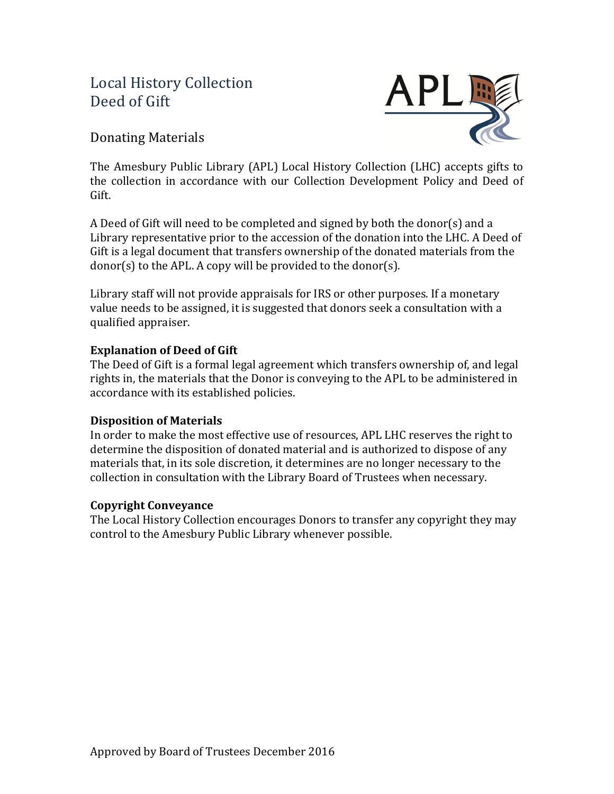# Local History Collection Deed of Gift



### Donating Materials

The Amesbury Public Library (APL) Local History Collection (LHC) accepts gifts to the collection in accordance with our Collection Development Policy and Deed of Gift.

A Deed of Gift will need to be completed and signed by both the donor(s) and a Library representative prior to the accession of the donation into the LHC. A Deed of Gift is a legal document that transfers ownership of the donated materials from the  $donor(s)$  to the APL. A copy will be provided to the donor(s).

Library staff will not provide appraisals for IRS or other purposes. If a monetary value needs to be assigned, it is suggested that donors seek a consultation with a qualified appraiser.

### **Explanation of Deed of Gift**

The Deed of Gift is a formal legal agreement which transfers ownership of, and legal rights in, the materials that the Donor is conveying to the APL to be administered in accordance with its established policies.

#### **Disposition of Materials**

In order to make the most effective use of resources, APL LHC reserves the right to determine the disposition of donated material and is authorized to dispose of any materials that, in its sole discretion, it determines are no longer necessary to the collection in consultation with the Library Board of Trustees when necessary.

#### **Copyright Conveyance**

The Local History Collection encourages Donors to transfer any copyright they may control to the Amesbury Public Library whenever possible.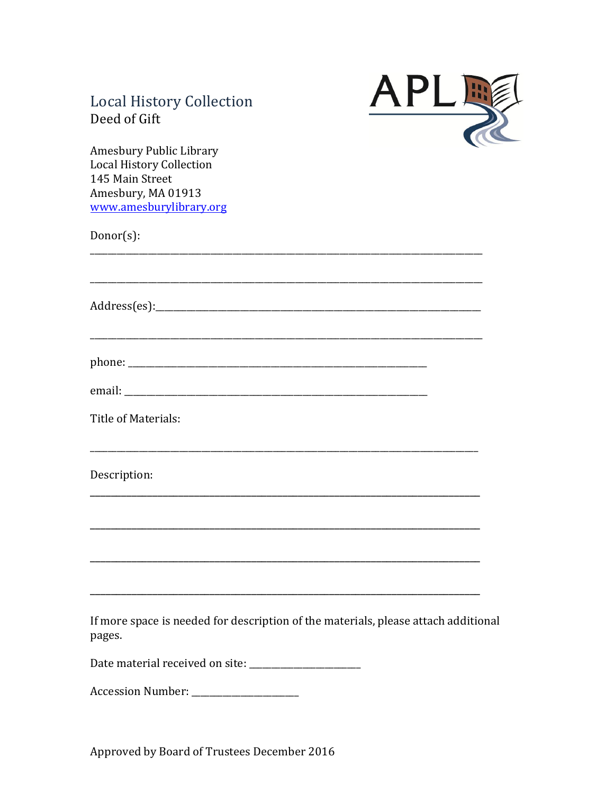## **Local History Collection** Deed of Gift



Amesbury Public Library Local History Collection 145 Main Street Amesbury, MA 01913 www.amesburylibrary.org

 $Donor(s)$ :

Title of Materials:

Description:

If more space is needed for description of the materials, please attach additional pages.

Date material received on site: \_\_\_\_\_\_\_\_

Approved by Board of Trustees December 2016